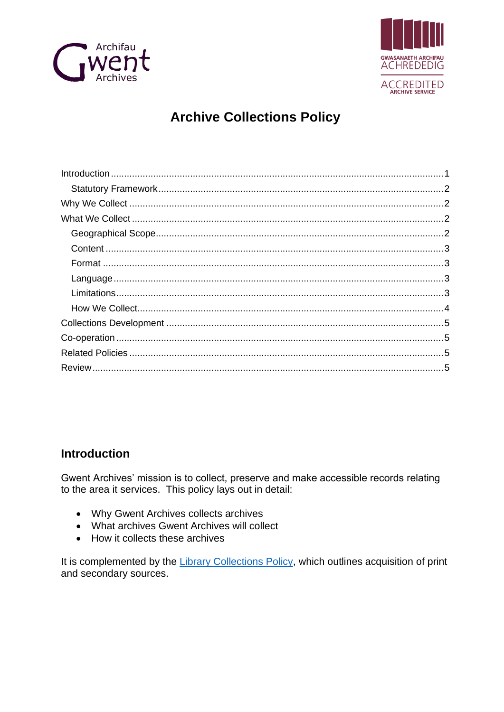



# **Archive Collections Policy**

# <span id="page-0-0"></span>**Introduction**

Gwent Archives' mission is to collect, preserve and make accessible records relating to the area it services. This policy lays out in detail:

- Why Gwent Archives collects archives
- What archives Gwent Archives will collect
- How it collects these archives

It is complemented by the Library Collections Policy, which outlines acquisition of print and secondary sources.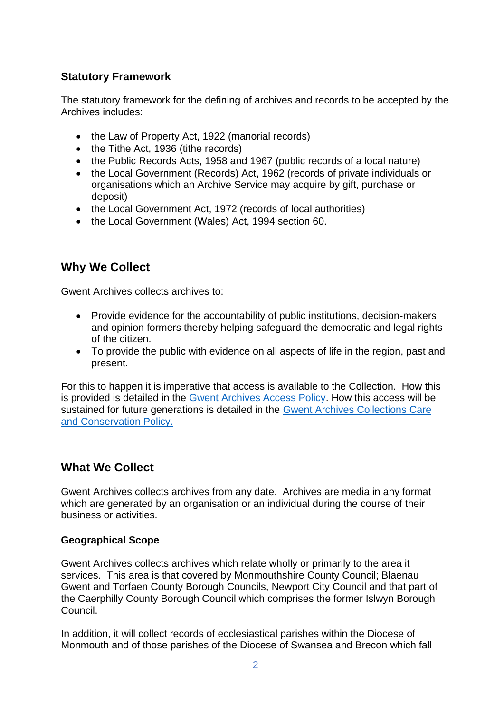### <span id="page-1-0"></span>**Statutory Framework**

The statutory framework for the defining of archives and records to be accepted by the Archives includes:

- the Law of Property Act, 1922 (manorial records)
- the Tithe Act, 1936 (tithe records)
- the Public Records Acts, 1958 and 1967 (public records of a local nature)
- the Local Government (Records) Act, 1962 (records of private individuals or organisations which an Archive Service may acquire by gift, purchase or deposit)
- the Local Government Act, 1972 (records of local authorities)
- the Local Government (Wales) Act, 1994 section 60.

# <span id="page-1-1"></span>**Why We Collect**

Gwent Archives collects archives to:

- Provide evidence for the accountability of public institutions, decision-makers and opinion formers thereby helping safeguard the democratic and legal rights of the citizen.
- To provide the public with evidence on all aspects of life in the region, past and present.

For this to happen it is imperative that access is available to the Collection. How this is provided is detailed in the [Gwent Archives Access Policy.](https://www.gwentarchives.gov.uk/en/about-us/policies-and-governance/) How this access will be sustained for future generations is detailed in the [Gwent Archives Collections Care](https://www.gwentarchives.gov.uk/en/about-us/policies-and-governance/)  [and Conservation Policy.](https://www.gwentarchives.gov.uk/en/about-us/policies-and-governance/)

# <span id="page-1-2"></span>**What We Collect**

Gwent Archives collects archives from any date. Archives are media in any format which are generated by an organisation or an individual during the course of their business or activities.

### <span id="page-1-3"></span>**Geographical Scope**

Gwent Archives collects archives which relate wholly or primarily to the area it services. This area is that covered by Monmouthshire County Council; Blaenau Gwent and Torfaen County Borough Councils, Newport City Council and that part of the Caerphilly County Borough Council which comprises the former Islwyn Borough Council.

In addition, it will collect records of ecclesiastical parishes within the Diocese of Monmouth and of those parishes of the Diocese of Swansea and Brecon which fall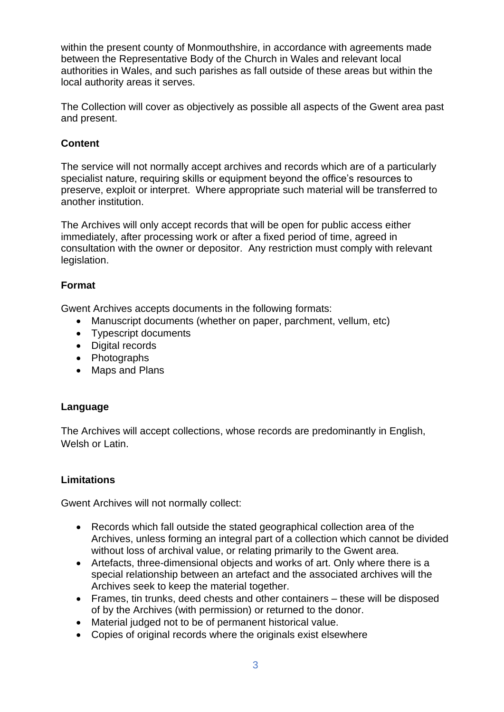within the present county of Monmouthshire, in accordance with agreements made between the Representative Body of the Church in Wales and relevant local authorities in Wales, and such parishes as fall outside of these areas but within the local authority areas it serves.

The Collection will cover as objectively as possible all aspects of the Gwent area past and present.

### <span id="page-2-0"></span>**Content**

The service will not normally accept archives and records which are of a particularly specialist nature, requiring skills or equipment beyond the office's resources to preserve, exploit or interpret. Where appropriate such material will be transferred to another institution.

The Archives will only accept records that will be open for public access either immediately, after processing work or after a fixed period of time, agreed in consultation with the owner or depositor. Any restriction must comply with relevant legislation.

### <span id="page-2-1"></span>**Format**

Gwent Archives accepts documents in the following formats:

- Manuscript documents (whether on paper, parchment, vellum, etc)
- Typescript documents
- Digital records
- Photographs
- Maps and Plans

#### <span id="page-2-2"></span>**Language**

The Archives will accept collections, whose records are predominantly in English, Welsh or Latin.

#### <span id="page-2-3"></span>**Limitations**

Gwent Archives will not normally collect:

- Records which fall outside the stated geographical collection area of the Archives, unless forming an integral part of a collection which cannot be divided without loss of archival value, or relating primarily to the Gwent area.
- Artefacts, three-dimensional objects and works of art. Only where there is a special relationship between an artefact and the associated archives will the Archives seek to keep the material together.
- Frames, tin trunks, deed chests and other containers these will be disposed of by the Archives (with permission) or returned to the donor.
- Material judged not to be of permanent historical value.
- Copies of original records where the originals exist elsewhere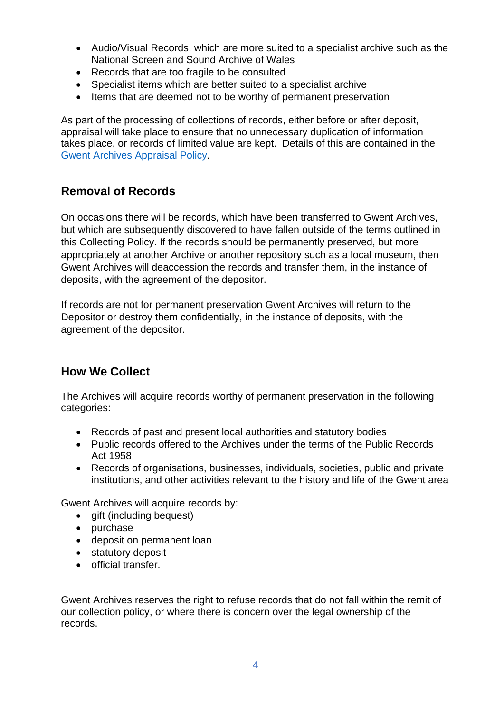- Audio/Visual Records, which are more suited to a specialist archive such as the National Screen and Sound Archive of Wales
- Records that are too fragile to be consulted
- Specialist items which are better suited to a specialist archive
- Items that are deemed not to be worthy of permanent preservation

As part of the processing of collections of records, either before or after deposit, appraisal will take place to ensure that no unnecessary duplication of information takes place, or records of limited value are kept. Details of this are contained in the [Gwent Archives Appraisal Policy.](https://www.gwentarchives.gov.uk/en/about-us/policies-and-governance/)

# **Removal of Records**

On occasions there will be records, which have been transferred to Gwent Archives, but which are subsequently discovered to have fallen outside of the terms outlined in this Collecting Policy. If the records should be permanently preserved, but more appropriately at another Archive or another repository such as a local museum, then Gwent Archives will deaccession the records and transfer them, in the instance of deposits, with the agreement of the depositor.

If records are not for permanent preservation Gwent Archives will return to the Depositor or destroy them confidentially, in the instance of deposits, with the agreement of the depositor.

# <span id="page-3-0"></span>**How We Collect**

The Archives will acquire records worthy of permanent preservation in the following categories:

- Records of past and present local authorities and statutory bodies
- Public records offered to the Archives under the terms of the Public Records Act 1958
- Records of organisations, businesses, individuals, societies, public and private institutions, and other activities relevant to the history and life of the Gwent area

Gwent Archives will acquire records by:

- gift (including bequest)
- purchase
- deposit on permanent loan
- statutory deposit
- official transfer.

Gwent Archives reserves the right to refuse records that do not fall within the remit of our collection policy, or where there is concern over the legal ownership of the records.